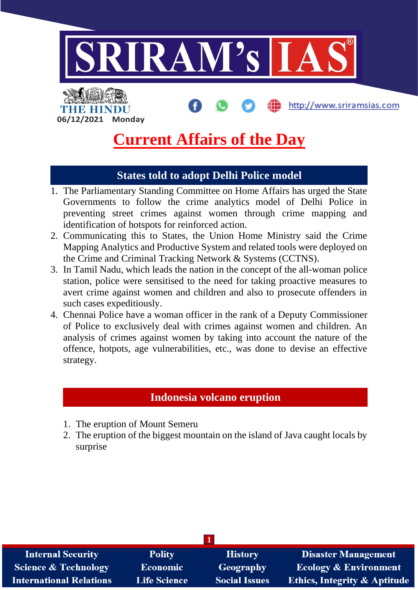

http://www.sriramsias.com

**Current Affairs of the Day**

### **States told to adopt Delhi Police model**

- 1. The Parliamentary Standing Committee on Home Affairs has urged the State Governments to follow the crime analytics model of Delhi Police in preventing street crimes against women through crime mapping and identification of hotspots for reinforced action.
- 2. Communicating this to States, the Union Home Ministry said the Crime Mapping Analytics and Productive System and related tools were deployed on the Crime and Criminal Tracking Network & Systems (CCTNS).
- 3. In Tamil Nadu, which leads the nation in the concept of the all-woman police station, police were sensitised to the need for taking proactive measures to avert crime against women and children and also to prosecute offenders in such cases expeditiously.
- 4. Chennai Police have a woman officer in the rank of a Deputy Commissioner of Police to exclusively deal with crimes against women and children. An analysis of crimes against women by taking into account the nature of the offence, hotpots, age vulnerabilities, etc., was done to devise an effective strategy.

### **Indonesia volcano eruption**

1. The eruption of Mount Semeru

**06/12/2021 Monday**

THE HINDI

2. The eruption of the biggest mountain on the island of Java caught locals by surprise

| <b>Internal Security</b>        | <b>Polity</b>       | <b>History</b>       | <b>Disaster Management</b>              |
|---------------------------------|---------------------|----------------------|-----------------------------------------|
| <b>Science &amp; Technology</b> | <b>Economic</b>     | Geography            | <b>Ecology &amp; Environment</b>        |
| <b>International Relations</b>  | <b>Life Science</b> | <b>Social Issues</b> | <b>Ethics, Integrity &amp; Aptitude</b> |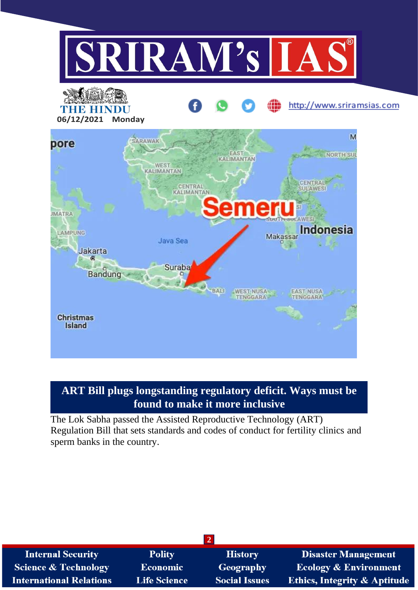

## **ART Bill plugs longstanding regulatory deficit. Ways must be found to make it more inclusive**

The Lok Sabha passed the Assisted Reproductive Technology (ART) Regulation Bill that sets standards and codes of conduct for fertility clinics and sperm banks in the country.

| <b>Internal Security</b>       | <b>Polity</b>       | <b>History</b>       | <b>Disaster Management</b>              |
|--------------------------------|---------------------|----------------------|-----------------------------------------|
| Science & Technology           | Economic            | <b>Geography</b>     | <b>Ecology &amp; Environment</b>        |
| <b>International Relations</b> | <b>Life Science</b> | <b>Social Issues</b> | <b>Ethics, Integrity &amp; Aptitude</b> |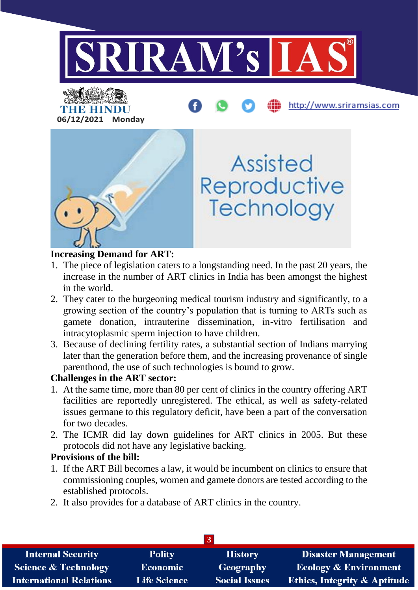



#### **Increasing Demand for ART:**

- 1. The piece of legislation caters to a longstanding need. In the past 20 years, the increase in the number of ART clinics in India has been amongst the highest in the world.
- 2. They cater to the burgeoning medical tourism industry and significantly, to a growing section of the country's population that is turning to ARTs such as gamete donation, intrauterine dissemination, in-vitro fertilisation and intracytoplasmic sperm injection to have children.
- 3. Because of declining fertility rates, a substantial section of Indians marrying later than the generation before them, and the increasing provenance of single parenthood, the use of such technologies is bound to grow.

### **Challenges in the ART sector:**

- 1. At the same time, more than 80 per cent of clinics in the country offering ART facilities are reportedly unregistered. The ethical, as well as safety-related issues germane to this regulatory deficit, have been a part of the conversation for two decades.
- 2. The ICMR did lay down guidelines for ART clinics in 2005. But these protocols did not have any legislative backing.

#### **Provisions of the bill:**

- 1. If the ART Bill becomes a law, it would be incumbent on clinics to ensure that commissioning couples, women and gamete donors are tested according to the established protocols.
- 2. It also provides for a database of ART clinics in the country.

| <b>Internal Security</b>        | <b>Polity</b>       | <b>History</b>       | <b>Disaster Management</b>       |
|---------------------------------|---------------------|----------------------|----------------------------------|
| <b>Science &amp; Technology</b> | <b>Economic</b>     | <b>Geography</b>     | <b>Ecology &amp; Environment</b> |
| <b>International Relations</b>  | <b>Life Science</b> | <b>Social Issues</b> | Ethics, Integrity & Aptitude     |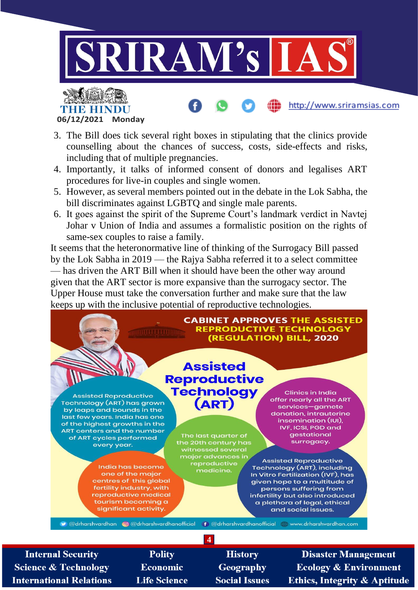

**06/12/2021 Monday**

- 3. The Bill does tick several right boxes in stipulating that the clinics provide counselling about the chances of success, costs, side-effects and risks, including that of multiple pregnancies.
- 4. Importantly, it talks of informed consent of donors and legalises ART procedures for live-in couples and single women.
- 5. However, as several members pointed out in the debate in the Lok Sabha, the bill discriminates against LGBTQ and single male parents.
- 6. It goes against the spirit of the Supreme Court's landmark verdict in Navtej Johar v Union of India and assumes a formalistic position on the rights of same-sex couples to raise a family.

It seems that the heteronormative line of thinking of the Surrogacy Bill passed by the Lok Sabha in 2019 — the Rajya Sabha referred it to a select committee — has driven the ART Bill when it should have been the other way around given that the ART sector is more expansive than the surrogacy sector. The Upper House must take the conversation further and make sure that the law keeps up with the inclusive potential of reproductive technologies.



**4**

**Internal Security Science & Technology International Relations** 

**Polity Economic Life Science** 

**History Geography Social Issues** 

**Disaster Management Ecology & Environment Ethics, Integrity & Aptitude**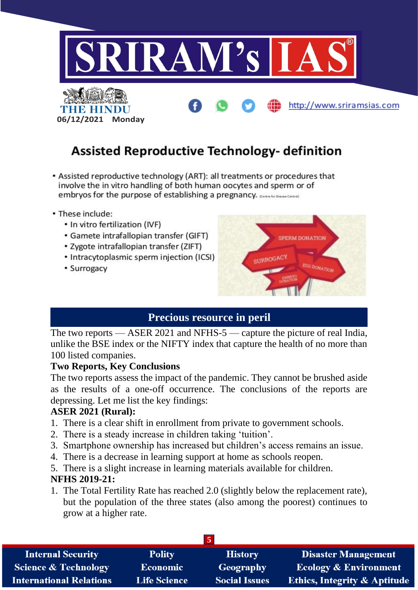

# **Assisted Reproductive Technology- definition**

- Assisted reproductive technology (ART): all treatments or procedures that involve the in vitro handling of both human oocytes and sperm or of embryos for the purpose of establishing a pregnancy. Expression and control
- These include:
	- In vitro fertilization (IVF)
	- Gamete intrafallopian transfer (GIFT)
	- Zygote intrafallopian transfer (ZIFT)
	- Intracytoplasmic sperm injection (ICSI)
	- Surrogacy



### **Precious resource in peril**

The two reports — ASER 2021 and NFHS-5 — capture the picture of real India, unlike the BSE index or the NIFTY index that capture the health of no more than 100 listed companies.

#### **Two Reports, Key Conclusions**

The two reports assess the impact of the pandemic. They cannot be brushed aside as the results of a one-off occurrence. The conclusions of the reports are depressing. Let me list the key findings:

#### **ASER 2021 (Rural):**

- 1. There is a clear shift in enrollment from private to government schools.
- 2. There is a steady increase in children taking 'tuition'.
- 3. Smartphone ownership has increased but children's access remains an issue.
- 4. There is a decrease in learning support at home as schools reopen.
- 5. There is a slight increase in learning materials available for children.

#### **NFHS 2019-21:**

1. The Total Fertility Rate has reached 2.0 (slightly below the replacement rate), but the population of the three states (also among the poorest) continues to grow at a higher rate.

| <b>Internal Security</b>        | <b>Polity</b>       | <b>History</b>       | <b>Disaster Management</b>              |
|---------------------------------|---------------------|----------------------|-----------------------------------------|
| <b>Science &amp; Technology</b> | <b>Economic</b>     | Geography            | <b>Ecology &amp; Environment</b>        |
| <b>International Relations</b>  | <b>Life Science</b> | <b>Social Issues</b> | <b>Ethics, Integrity &amp; Aptitude</b> |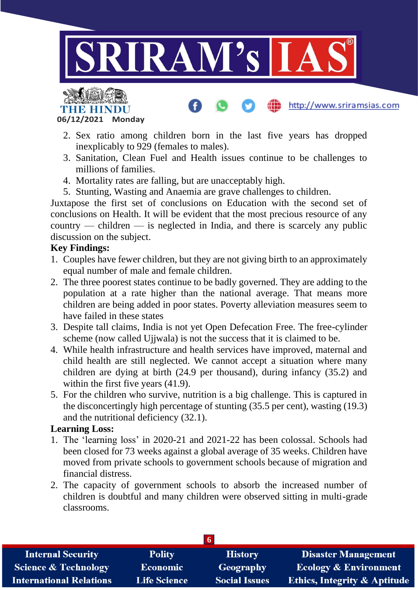



2. Sex ratio among children born in the last five years has dropped inexplicably to 929 (females to males).

http://www.sriramsias.com

- 3. Sanitation, Clean Fuel and Health issues continue to be challenges to millions of families.
- 4. Mortality rates are falling, but are unacceptably high.
- 5. Stunting, Wasting and Anaemia are grave challenges to children.

Juxtapose the first set of conclusions on Education with the second set of conclusions on Health. It will be evident that the most precious resource of any country — children — is neglected in India, and there is scarcely any public discussion on the subject.

#### **Key Findings:**

- 1. Couples have fewer children, but they are not giving birth to an approximately equal number of male and female children.
- 2. The three poorest states continue to be badly governed. They are adding to the population at a rate higher than the national average. That means more children are being added in poor states. Poverty alleviation measures seem to have failed in these states
- 3. Despite tall claims, India is not yet Open Defecation Free. The free-cylinder scheme (now called Ujjwala) is not the success that it is claimed to be.
- 4. While health infrastructure and health services have improved, maternal and child health are still neglected. We cannot accept a situation where many children are dying at birth (24.9 per thousand), during infancy (35.2) and within the first five years  $(41.9)$ .
- 5. For the children who survive, nutrition is a big challenge. This is captured in the disconcertingly high percentage of stunting (35.5 per cent), wasting (19.3) and the nutritional deficiency (32.1).

#### **Learning Loss:**

- 1. The 'learning loss' in 2020-21 and 2021-22 has been colossal. Schools had been closed for 73 weeks against a global average of 35 weeks. Children have moved from private schools to government schools because of migration and financial distress.
- 2. The capacity of government schools to absorb the increased number of children is doubtful and many children were observed sitting in multi-grade classrooms.

| <b>Internal Security</b>        | <b>Polity</b>       | <b>History</b>       | <b>Disaster Management</b>              |
|---------------------------------|---------------------|----------------------|-----------------------------------------|
| <b>Science &amp; Technology</b> | <b>Economic</b>     | Geography            | <b>Ecology &amp; Environment</b>        |
| <b>International Relations</b>  | <b>Life Science</b> | <b>Social Issues</b> | <b>Ethics, Integrity &amp; Aptitude</b> |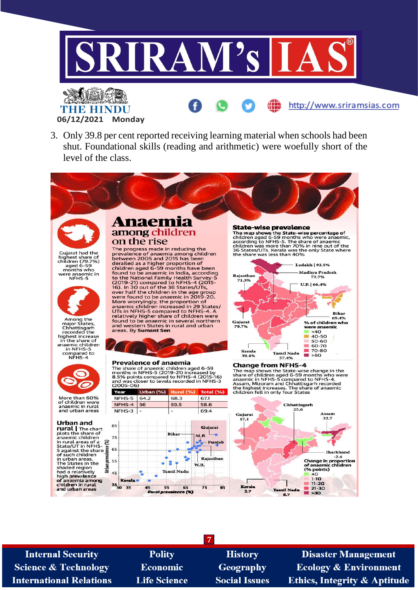

3. Only 39.8 per cent reported receiving learning material when schools had been shut. Foundational skills (reading and arithmetic) were woefully short of the level of the class.



**06/12/2021 Monday**

Guiarat had the Sugarat Had the<br>highest share of<br>children (79.7%)<br>aged 6-59 aged 6-59<br>months who were anaemic in<br>NFHS-5



Among the<br>major States,<br>Chhattisgarh<br>recorded the<br>highest increase<br>annemic children anaemic children<br>in NFHS-5 compared to<br>NFHS-4



More than 60%<br>of children were<br>anaemic in rural<br>and urban areas

#### **Urban and**

**Urban and**<br> **rural**  $\vert$  The chart<br>
plots the share of<br>
anaemic children<br>
in rural areas of a<br>
State/UT in NFHS-<br>
5 against the share<br>
of such children<br>
in urban areas.<br>
The States in the in urban areas.<br>The States in the shaded region<br>had a relatively<br>high **prevalence** of anaemia among<br>children in rural<br>and urban areas

#### Anaem among children on the rise

The progress made in reducing the<br>prevalence of anaemia among children<br>between 2005 and 2015 has been derailed as a higher proportion of<br>children aged 6-59 months have been children aged 6-59 months have been<br>found to be anaemic in India, according<br>to the National Family Health Survey-5<br>(2019-21) compared to NFHS-4 (2015-<br>16). In 30 out of the 36 States/UTs, For the solution of the solution of the age group<br>were found to be anaemic in 2019-20.<br>More worryingly, the proportion of<br>anaemic children increased in 29 States/<br>UTs in NFHS-5 compared to NFHS-4. A relatively higher share of children were<br>found to be anaemic in several northern and western States in rural and urban<br>areas. By **Sumant Sen** 

#### **Prevalence of anaemia**

The share of anaemic children aged 6-59<br>The share of anaemic children aged 6-59<br>months in NFHS-5 (2019-21) increased to NFHS-4 (2015-16)<br>and was closer to levels recorded in NFHS-3<br>2005-06.  $(2005-06)$ 



#### **State-wise prevalence**

The map shows the State-wise percentage of<br>children aged 6-59 months who were anaemic,<br>according to NFHS-5. The share of anaemic<br>children was more than 70% in nine out of the<br>36 States/UTs. Kerala was the only State where<br>



#### **Change from NFHS-4**

The map shows the State-wise change in the<br>share of children aged 6-59 months who were<br>anaemic in NFHS-5 compared to NFHS-4.<br>Assam, Mizoram and Chhattisgarh recorded<br>the highest increases. The share of anaemic<br>children fel



**Internal Security Science & Technology International Relations** 

**Polity Economic Life Science** 

**History** Geography **Social Issues** 

**7**

**Disaster Management Ecology & Environment Ethics, Integrity & Aptitude**